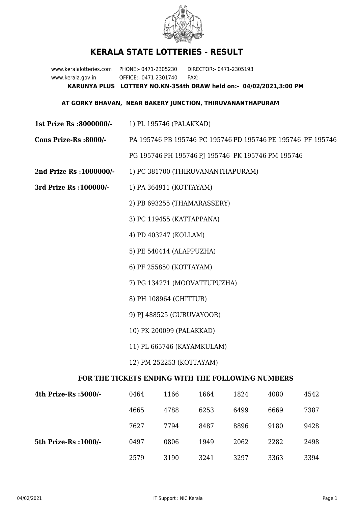

## **KERALA STATE LOTTERIES - RESULT**

www.keralalotteries.com PHONE:- 0471-2305230 DIRECTOR:- 0471-2305193 www.kerala.gov.in OFFICE:- 0471-2301740 FAX:- **KARUNYA PLUS LOTTERY NO.KN-354th DRAW held on:- 04/02/2021,3:00 PM**

## **AT GORKY BHAVAN, NEAR BAKERY JUNCTION, THIRUVANANTHAPURAM**

- **1st Prize Rs :8000000/-** 1) PL 195746 (PALAKKAD)
- **Cons Prize-Rs :8000/-** PA 195746 PB 195746 PC 195746 PD 195746 PE 195746 PF 195746 PG 195746 PH 195746 PJ 195746 PK 195746 PM 195746
- **2nd Prize Rs :1000000/-** 1) PC 381700 (THIRUVANANTHAPURAM)
- **3rd Prize Rs :100000/-** 1) PA 364911 (KOTTAYAM)
	- 2) PB 693255 (THAMARASSERY)
	- 3) PC 119455 (KATTAPPANA)
	- 4) PD 403247 (KOLLAM)
	- 5) PE 540414 (ALAPPUZHA)
	- 6) PF 255850 (KOTTAYAM)
	- 7) PG 134271 (MOOVATTUPUZHA)
	- 8) PH 108964 (CHITTUR)
	- 9) PJ 488525 (GURUVAYOOR)
	- 10) PK 200099 (PALAKKAD)
	- 11) PL 665746 (KAYAMKULAM)
	- 12) PM 252253 (KOTTAYAM)

## **FOR THE TICKETS ENDING WITH THE FOLLOWING NUMBERS**

| 4th Prize-Rs :5000/-  | 0464 | 1166 | 1664 | 1824 | 4080 | 4542 |
|-----------------------|------|------|------|------|------|------|
|                       | 4665 | 4788 | 6253 | 6499 | 6669 | 7387 |
|                       | 7627 | 7794 | 8487 | 8896 | 9180 | 9428 |
| 5th Prize-Rs : 1000/- | 0497 | 0806 | 1949 | 2062 | 2282 | 2498 |
|                       | 2579 | 3190 | 3241 | 3297 | 3363 | 3394 |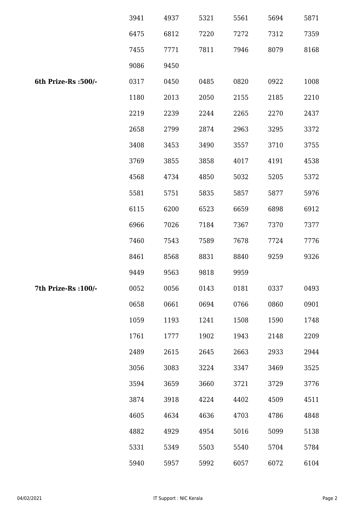|                      | 3941 | 4937 | 5321 | 5561 | 5694 | 5871 |
|----------------------|------|------|------|------|------|------|
|                      | 6475 | 6812 | 7220 | 7272 | 7312 | 7359 |
|                      | 7455 | 7771 | 7811 | 7946 | 8079 | 8168 |
|                      | 9086 | 9450 |      |      |      |      |
| 6th Prize-Rs :500/-  | 0317 | 0450 | 0485 | 0820 | 0922 | 1008 |
|                      | 1180 | 2013 | 2050 | 2155 | 2185 | 2210 |
|                      | 2219 | 2239 | 2244 | 2265 | 2270 | 2437 |
|                      | 2658 | 2799 | 2874 | 2963 | 3295 | 3372 |
|                      | 3408 | 3453 | 3490 | 3557 | 3710 | 3755 |
|                      | 3769 | 3855 | 3858 | 4017 | 4191 | 4538 |
|                      | 4568 | 4734 | 4850 | 5032 | 5205 | 5372 |
|                      | 5581 | 5751 | 5835 | 5857 | 5877 | 5976 |
|                      | 6115 | 6200 | 6523 | 6659 | 6898 | 6912 |
|                      | 6966 | 7026 | 7184 | 7367 | 7370 | 7377 |
|                      | 7460 | 7543 | 7589 | 7678 | 7724 | 7776 |
|                      | 8461 | 8568 | 8831 | 8840 | 9259 | 9326 |
|                      | 9449 | 9563 | 9818 | 9959 |      |      |
| 7th Prize-Rs : 100/- | 0052 | 0056 | 0143 | 0181 | 0337 | 0493 |
|                      | 0658 | 0661 | 0694 | 0766 | 0860 | 0901 |
|                      | 1059 | 1193 | 1241 | 1508 | 1590 | 1748 |
|                      | 1761 | 1777 | 1902 | 1943 | 2148 | 2209 |
|                      | 2489 | 2615 | 2645 | 2663 | 2933 | 2944 |
|                      | 3056 | 3083 | 3224 | 3347 | 3469 | 3525 |
|                      | 3594 | 3659 | 3660 | 3721 | 3729 | 3776 |
|                      | 3874 | 3918 | 4224 | 4402 | 4509 | 4511 |
|                      | 4605 | 4634 | 4636 | 4703 | 4786 | 4848 |
|                      | 4882 | 4929 | 4954 | 5016 | 5099 | 5138 |
|                      | 5331 | 5349 | 5503 | 5540 | 5704 | 5784 |
|                      | 5940 | 5957 | 5992 | 6057 | 6072 | 6104 |